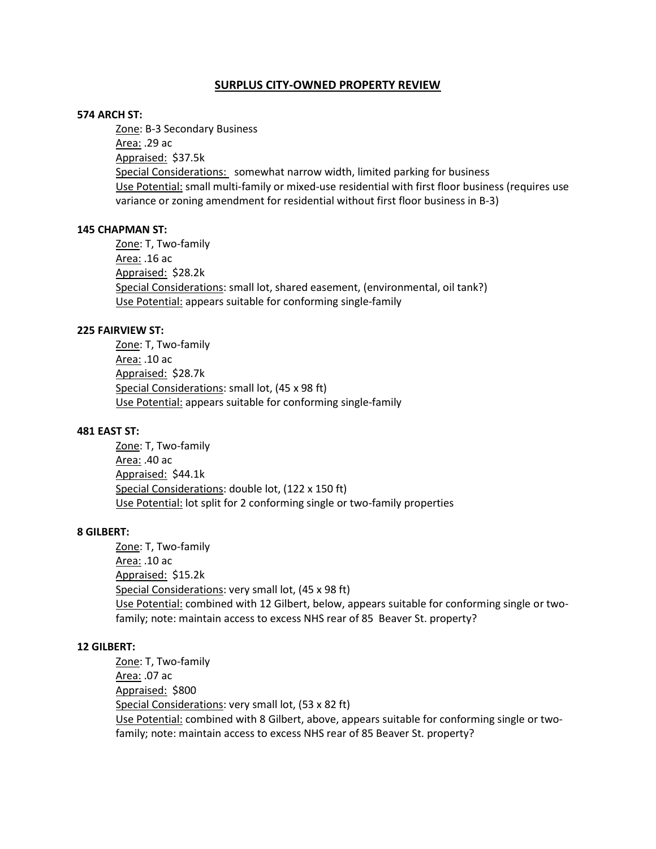# SURPLUS CITY-OWNED PROPERTY REVIEW

#### 574 ARCH ST:

Zone: B-3 Secondary Business Area: .29 ac Appraised: \$37.5k Special Considerations: somewhat narrow width, limited parking for business Use Potential: small multi-family or mixed-use residential with first floor business (requires use variance or zoning amendment for residential without first floor business in B-3)

#### 145 CHAPMAN ST:

Zone: T, Two-family Area: .16 ac Appraised: \$28.2k Special Considerations: small lot, shared easement, (environmental, oil tank?) Use Potential: appears suitable for conforming single-family

## 225 FAIRVIEW ST:

Zone: T, Two-family Area: .10 ac Appraised: \$28.7k Special Considerations: small lot, (45 x 98 ft) Use Potential: appears suitable for conforming single-family

# 481 EAST ST:

Zone: T, Two-family Area: .40 ac Appraised: \$44.1k Special Considerations: double lot, (122 x 150 ft) Use Potential: lot split for 2 conforming single or two-family properties

#### 8 GILBERT:

Zone: T, Two-family Area: .10 ac Appraised: \$15.2k Special Considerations: very small lot, (45 x 98 ft) Use Potential: combined with 12 Gilbert, below, appears suitable for conforming single or twofamily; note: maintain access to excess NHS rear of 85 Beaver St. property?

#### 12 GILBERT:

Zone: T, Two-family Area: .07 ac Appraised: \$800 Special Considerations: very small lot, (53 x 82 ft) Use Potential: combined with 8 Gilbert, above, appears suitable for conforming single or twofamily; note: maintain access to excess NHS rear of 85 Beaver St. property?